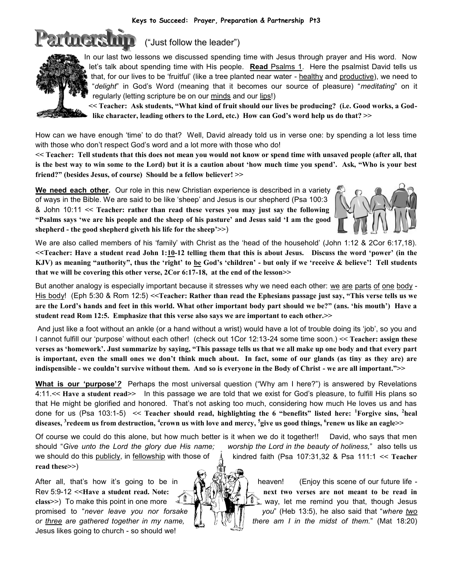## **Keys to Succeed: Prayer, Preparation & Partnership Pt3**



("Just follow the leader")

In our last two lessons we discussed spending time with Jesus through prayer and His word. Now let"s talk about spending time with His people. **Read** Psalms 1. Here the psalmist David tells us that, for our lives to be "fruitful" (like a tree planted near water - healthy and productive), we need to "*delight*" in God"s Word (meaning that it becomes our source of pleasure) "*meditating*" on it regularly (letting scripture be on our minds and our lips!)

**<< Teacher: Ask students, "What kind of fruit should our lives be producing? (i.e. Good works, a Godlike character, leading others to the Lord, etc.) How can God"s word help us do that? >>**

How can we have enough "time" to do that? Well, David already told us in verse one: by spending a lot less time with those who don't respect God's word and a lot more with those who do!

**<< Teacher: Tell students that this does not mean you would not know or spend time with unsaved people (after all, that**  is the best way to win some to the Lord) but it is a caution about 'how much time you spend'. Ask, "Who is your best **friend?" (besides Jesus, of course) Should be a fellow believer! >>**

**We need each other.** Our role in this new Christian experience is described in a variety of ways in the Bible. We are said to be like "sheep" and Jesus is our shepherd (Psa 100:3 & John 10:11 **<< Teacher: rather than read these verses you may just say the following "Psalms says "we are his people and the sheep of his pasture" and Jesus said "I am the good shepherd - the good shepherd giveth his life for the sheep">>**)



We are also called members of his 'family' with Christ as the 'head of the household' (John 1:12 & 2Cor 6:17,18). **<**<**Teacher: Have a student read John 1:10-12 telling them that this is about Jesus. Discuss the word "power" (in the KJV) as meaning "authority", thus the "right" to be God"s "children" - but only if we "receive & believe"! Tell students that we will be covering this other verse, 2Cor 6:17-18, at the end of the lesson>>**

But another analogy is especially important because it stresses why we need each other: we are parts of one body - His body! (Eph 5:30 & Rom 12:5) **<<Teacher: Rather than read the Ephesians passage just say, "This verse tells us we are the Lord"s hands and feet in this world. What other important body part should we be?" (ans. "his mouth") Have a student read Rom 12:5. Emphasize that this verse also says we are important to each other.>>**

And just like a foot without an ankle (or a hand without a wrist) would have a lot of trouble doing its "job", so you and I cannot fulfill our "purpose" without each other! (check out 1Cor 12:13-24 some time soon.) **<< Teacher: assign these verses as "homework". Just summarize by saying, "This passage tells us that we all make up one body and that every part is important, even the small ones we don"t think much about. In fact, some of our glands (as tiny as they are) are indispensible - we couldn"t survive without them. And so is everyone in the Body of Christ - we are all important.">>**

**What is our 'purpose'***?* Perhaps the most universal question ("Why am I here?") is answered by Revelations 4:11.**<< Have a student read>>** In this passage we are told that we exist for God"s pleasure, to fulfill His plans so that He might be glorified and honored. That"s not asking too much, considering how much He loves us and has done for us (Psa 103:1-5) **<< Teacher should read, highlighting the 6 "benefits" listed here: <sup>1</sup>Forgive sins, <sup>2</sup> heal diseases, <sup>3</sup> redeem us from destruction, <sup>4</sup> crown us with love and mercy, <sup>5</sup> give us good things, <sup>6</sup> renew us like an eagle>>**

Of course we could do this alone, but how much better is it when we do it together!! David, who says that men should "*Give unto the Lord the glory due His name; worship the Lord in the beauty of holiness,*" also tells us we should do this publicly, in fellowship with those of  $\Lambda$  kindred faith (Psa 107:31,32 & Psa 111:1 << Teacher **read these>>**)

Jesus likes going to church - so should we!

After all, that's how it's going to be in  $\mathbb{A}$ ,  $\mathbb{A}$ ,  $\mathbb{A}$ ,  $\mathbb{A}$ ,  $\mathbb{A}$ ,  $\mathbb{A}$ ,  $\mathbb{A}$ , heaven! (Enjoy this scene of our future life -Rev 5:9-12  $\leq$ Have a student read. Note:  $\leq$  **H**  $\mathbb{R}$  **NEX**  $\leq$  **NEX**  $\leq$  **next two verses are not meant to be read in class>>)** To make this point in one more was exactly a way, let me remind you that, though Jesus promised to "*never leave you nor forsake you*" (Heb 13:5), he also said that "*where two or three are gathered together in my name,*  $\Box$   $\Box$   $\Box$   $\Box$   $\Box$   $\Box$  there am I in the midst of them." (Mat 18:20)